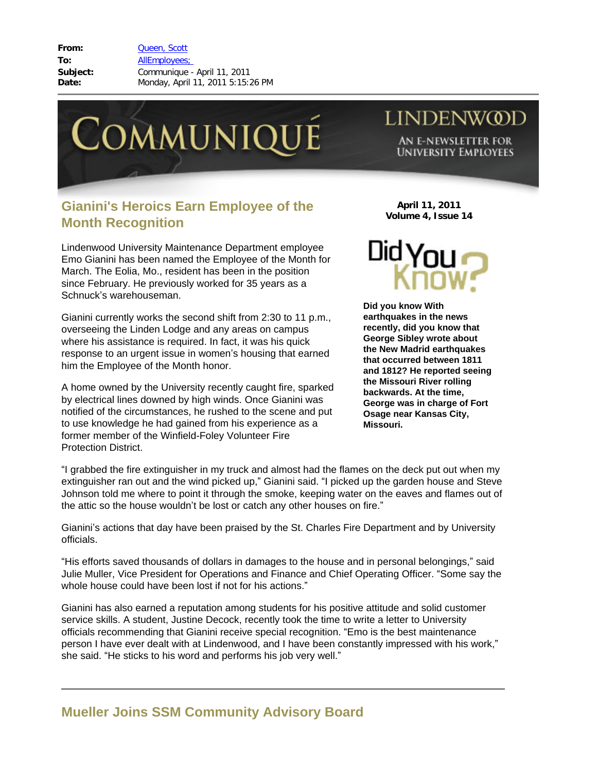**From:** [Queen, Scott](mailto:/O=LINDENWOOD UNIVERSITY/OU=LINDENWOOD/CN=RECIPIENTS/CN=SQUEEN) **To:** [AllEmployees;](mailto:/O=LINDENWOOD UNIVERSITY/OU=LINDENWOOD/cn=Recipients/cn=allemployees)  **Subject:** Communique - April 11, 2011 **Date:** Monday, April 11, 2011 5:15:26 PM



## **Gianini's Heroics Earn Employee of the Month Recognition**

Lindenwood University Maintenance Department employee Emo Gianini has been named the Employee of the Month for March. The Eolia, Mo., resident has been in the position since February. He previously worked for 35 years as a Schnuck's warehouseman.

Gianini currently works the second shift from 2:30 to 11 p.m., overseeing the Linden Lodge and any areas on campus where his assistance is required. In fact, it was his quick response to an urgent issue in women's housing that earned him the Employee of the Month honor.

A home owned by the University recently caught fire, sparked by electrical lines downed by high winds. Once Gianini was notified of the circumstances, he rushed to the scene and put to use knowledge he had gained from his experience as a former member of the Winfield-Foley Volunteer Fire Protection District.

**April 11, 2011 Volume 4, Issue 14**

**LINDENWOD** 

AN E-NEWSLETTER FOR **UNIVERSITY EMPLOYEES** 



**Did you know With earthquakes in the news recently, did you know that George Sibley wrote about the New Madrid earthquakes that occurred between 1811 and 1812? He reported seeing the Missouri River rolling backwards. At the time, George was in charge of Fort Osage near Kansas City, Missouri.** 

"I grabbed the fire extinguisher in my truck and almost had the flames on the deck put out when my extinguisher ran out and the wind picked up," Gianini said. "I picked up the garden house and Steve Johnson told me where to point it through the smoke, keeping water on the eaves and flames out of the attic so the house wouldn't be lost or catch any other houses on fire."

Gianini's actions that day have been praised by the St. Charles Fire Department and by University officials.

"His efforts saved thousands of dollars in damages to the house and in personal belongings," said Julie Muller, Vice President for Operations and Finance and Chief Operating Officer. "Some say the whole house could have been lost if not for his actions."

Gianini has also earned a reputation among students for his positive attitude and solid customer service skills. A student, Justine Decock, recently took the time to write a letter to University officials recommending that Gianini receive special recognition. "Emo is the best maintenance person I have ever dealt with at Lindenwood, and I have been constantly impressed with his work," she said. "He sticks to his word and performs his job very well."